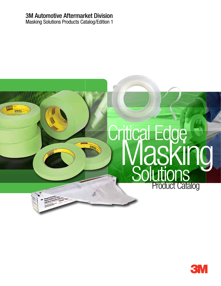## 3M Automotive Aftermarket Division

Masking Solutions Products Catalog/Edition 1



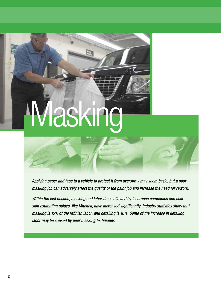# askin

*Applying paper and tape to a vehicle to protect it from overspray may seem basic, but a poor masking job can adversely affect the quality of the paint job and increase the need for rework.*

*Within the last decade, masking and labor times allowed by insurance companies and collision estimating guides, like Mitchell, have increased significantly. Industry statistics show that masking is 15% of the refinish labor, and detailing is 16%. Some of the increase in detailing labor may be caused by poor masking techniques*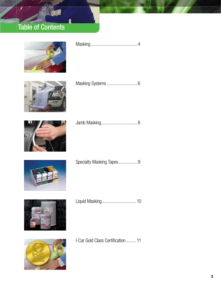## Table of Contents



|--|--|--|--|--|--|





|--|



|  | Specialty Masking Tapes 9 |
|--|---------------------------|
|--|---------------------------|



|--|--|



I-Car Gold Class Certification......... 11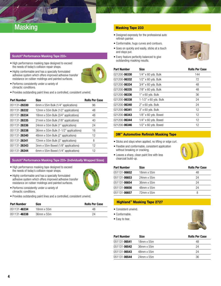## Masking Masking Tape 233

#### Scotch® Performance Masking Tape 233+

• High performance masking tape designed to exceed the needs of today's collision repair shops. • Highly conformable and has a specially formulated

resistance on rubber moldings and painted surfaces.

- adhesive system which offers improved adhesive transfer
- Performs consistently under a variety of climactic conditions.
- Provides outstanding paint lines and a controlled, consistent unwind.

| <b>Part Number</b> | <b>Size</b>                           | <b>Rolls Per Case</b> |
|--------------------|---------------------------------------|-----------------------|
| 051131-26330       | 6mm x 55m Bulk (1/4" applications)    | 96                    |
| 051131-26332       | 12mm x 55m Bulk (1/2" applications)   | 48                    |
| 051131-26334       | 18mm x 55m Bulk (3/4" applications)   | 48                    |
| 051131-26335       | 21mm x 55m Bulk (7/8" applications)   | 40                    |
| 051131-26336       | 24mm x 55m Bulk (1" applications)     | 24                    |
| 051131-26338       | 36mm x 55m Bulk (1-1/2" applications) | 16                    |
| 051131-26340       | 48mm x 55m Bulk (2" applications)     | 12                    |
| 051131-26341       | 72mm x 55m Bulk (3" applications)     | 8                     |
| 051131-26343       | 3mm x 55m Boxed (1/8" applications)   | 12                    |
| 051131-26344       | 6mm x 55m Boxed (1/4" applications)   | 12                    |

#### Scotch® Performance Masking Tape 233+ (Individually Wrapped Sizes)

- High performance masking tape designed to exceed the needs of today's collision repair shops.
- Highly conformable and has a specially formulated adhesive system which offers improved adhesive transfer resistance on rubber moldings and painted surfaces.
- Performs consistently under a variety of climactic conditions.
- Provides outstanding paint lines and a controlled, consistent unwind.

| <b>Part Number</b> | Size          | <b>Rolls Per Case</b> |
|--------------------|---------------|-----------------------|
| 051131-46334       | $18$ mm x 55m | 48                    |
| 051131-46338       | 36mm x 55m    | 24                    |

- Designed expressly for the professional auto refinish painter.
- Conformable, hugs curves and contours.
- Goes on quickly and easily, sticks at a touch and stays put.
- Every feature perfectly balanced to give outstanding masking results.



| Part Number  | <b>Size</b>             | <b>Rolls Per Case</b> |
|--------------|-------------------------|-----------------------|
| 021200-06330 | $1/4$ " x 60 yds. Bulk  | 144                   |
| 021200-06332 | $1/2$ " x 60 yds. Bulk  | 72                    |
| 021200-06334 | 3/4" x 60 yds. Bulk     | 48                    |
| 021200-06335 | 7/8" x 60 yds. Bulk     | 48                    |
| 021200-06336 | 1" x 60 yds. Bulk       | 36                    |
| 021200-06338 | 1-1/2" x 60 yds. Bulk   | 24                    |
| 021200-06340 | $2"$ x 60 yds. Bulk     | 24                    |
| 021200-06341 | 3" x 60 yds. Bulk       | 12                    |
| 021200-06343 | $1/8$ " x 60 yds. Boxed | 12                    |
| 021200-06344 | $1/4$ " x 60 yds. Boxed | 12                    |
| 021200-06346 | 1/2" x 60 yds. Boxed    | 12                    |
|              |                         |                       |

#### 3M™ Automotive Refinish Masking Tape

- Sticks and stays when applied, no lifting or edge curl.
- Flexible and conformable, consistent application without breaking or cracking.



• Leaves a sharp, clean paint line with less clearcoat build-up.

| Part Number          | <b>Size</b> | <b>Rolls Per Case</b> |
|----------------------|-------------|-----------------------|
| 051131- <b>06652</b> | 18mm x 55m  | 48                    |
| 051131-06653         | 24mm x 55m  | 24                    |
| 051131-06654         | 36mm x 55m  | 24                    |
| 051131- <b>06656</b> | 48mm x 55m  | 24                    |
| 051131- <b>06657</b> | 72mm x 55m  | 8                     |

#### Highland™ Masking Tape 2727

- Consistent unwind.
- Conformable.
- Easy to tear.



| <b>Part Number</b> | <b>Size</b>   | <b>Rolls Per Case</b> |
|--------------------|---------------|-----------------------|
| 051131-06541       | $18$ mm x 55m | 48                    |
| 051131-06542       | 36mm x 55m    | 24                    |
| 051131-06543       | 48mm x 55m    | 24                    |
| 051131-06544       | $24$ mm x 55m | 36                    |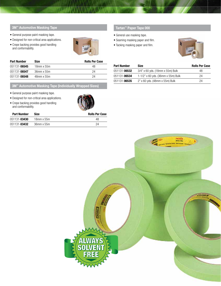#### 3M™ Automotive Masking Tape

- General purpose paint masking tape.
- Designed for non-critical area applications.
- Crepe backing provides good handling and conformability.



| <b>Part Number</b> | Size       | <b>Rolls Per Case</b> |
|--------------------|------------|-----------------------|
| 051131-06545       | 18mm x 55m | 48                    |
| 051131-06547       | 36mm x 55m | 24                    |
| 051131-06548       | 48mm x 55m | 24                    |

3M™ Automotive Masking Tape (Individually Wrapped Sizes)

- General purpose paint masking tape.
- Designed for non-critical area applications.
- Crepe backing provides good handling and conformability.



| <b>Part Number</b> | Size       | <b>Rolls Per Case</b> |
|--------------------|------------|-----------------------|
| 051131-03430       | 18mm x 55m | 48                    |
| 051131-03432       | 36mm x 55m | 24                    |

#### Tartan™ Paper Tape 000

- General use masking tape.
- Seaming masking paper and film.
- Tacking masking paper and film.



| <b>Part Number</b> | <b>Size</b>                        | <b>Rolls Per Case</b> |
|--------------------|------------------------------------|-----------------------|
| 051131-06532       | 3/4" x 60 yds. (18mm x 55m) Bulk   | 48                    |
| 051131-06534       | 1-1/2" x 60 yds. (36mm x 55m) Bulk | 24                    |
| 051131-06535       | 2" x 60 yds. (48mm x 55m) Bulk     | 24                    |

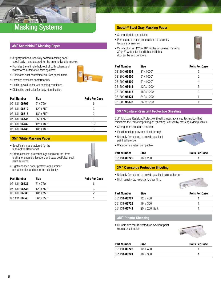## fin (3) Masking Systems Second Structure of Scotch® Steel Gray Masking Paper

#### 3M™ Scotchblok™ Masking Paper

- A tightly bonded, specially coated masking paper specifically manufactured for the automotive aftermarket.
- Provides the ultimate hold-out of both solvent and waterborne automotive paint systems.
- Eliminates dust contamination from paper fibers.
- Provides excellent conformability.
- Holds up well under wet sanding conditions.
- Distinctive gold color for easy identification.

| <b>Part Number</b> | Size              | <b>Rolls Per Case</b> |
|--------------------|-------------------|-----------------------|
| 051131-06706       | $6"$ x 750'       | 6                     |
| 051131-06712       | $12"$ x 750'      | 3                     |
| 051131-06718       | $18"$ x 750'      | 2                     |
| 051131-06736       | $36" \times 750'$ |                       |
| 051131-06732       | $12"$ x $180'$    | 12                    |
| 051131-06738       | $18"$ x $180'$    | 12                    |

#### **3M™ White Masking Paper**

- Specifically manufactured for the automotive aftermarket.
- Offers excellent protection against bleed-thru from urethane, enamels, lacquers and base coat/clear coat paint systems.



• Tightly bonded paper protects against fiber contamination and conforms excellently.

| <b>Part Number</b> | <b>Size</b>      | <b>Rolls Per Case</b> |
|--------------------|------------------|-----------------------|
| 051131-06537       | $6" \times 750'$ |                       |
| 051131-06538       | 12" x 750'       |                       |
| 051131-06539       | $18"$ x 750'     |                       |
| 051131-06540       | $36"$ x $750'$   |                       |

- Strong, flexible and pliable.
- Formulated to resist penetrations of solvents, lacquers or enamels.
- Variety of sizes: 12" to 18" widths for general masking 3" or 6" widths for headlights, taillights, door jambs and bumpers.



| Part Number          | <b>Size</b>       | <b>Rolls Per Case</b> |
|----------------------|-------------------|-----------------------|
| 021200-06503         | 3" x 1000'        | 6                     |
| 021200- <b>06506</b> | $6"$ x 1000'      | 6                     |
| 021200-06509         | $9" \times 1000'$ | 4                     |
| 021200-06512         | 12" x 1000'       | 3                     |
| 021200-06518         | $18"$ x $1000'$   | 2                     |
| 021200-06524         | $24"$ x 1000'     |                       |
| 021200-06536         | 36" x 1000'       |                       |

#### 3M™ Moisture Resistant Protective Sheeting

3M™ Moisture Resistant Protective Sheeting uses advanced technology that minimizes the risk of imprinting or "ghosting" caused by masking a damp vehicle.

- Strong, more puncture resistant.
- Excellent cling, prevents bleed through.
- Uniquely formulated to provide excellent paint adherence.
- Waterborne system compatible.

| Part Number          | Size           | <b>Rolls Per Case</b> |
|----------------------|----------------|-----------------------|
| 051131- <b>06725</b> | $16'$ x $250'$ |                       |

#### 3M™ Overspray Protective Sheeting

- Uniquely formulated to provide excellent paint adherence
- High-density, tear-resistant, clear film.



| <b>Part Number</b> | <b>Size</b>     | <b>Rolls Per Case</b> |
|--------------------|-----------------|-----------------------|
| 051131-06727       | 12' x 400'      |                       |
| 051131-06728       | $16'$ x 350'    |                       |
| 051131-06742       | 20' x 250' Bulk |                       |

### 3M™ Plastic Sheeting

• Durable film that is treated for excellent paint overspray adhesion.



| <b>Part Number</b> | Size           | <b>Rolls Per Case</b> |
|--------------------|----------------|-----------------------|
| 051131-06723       | $12'$ x $400'$ |                       |
| 051131-06724       | $16'$ x 350'   |                       |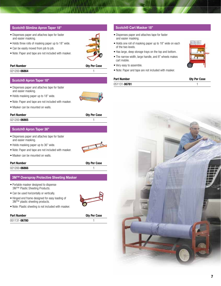#### Scotch® Slimline Apron Taper 18"

- Dispenses paper and attaches tape for faster and easier masking.
- Holds three rolls of masking paper up to 18" wide.
- Can be easily moved from job to job.
- Note: Paper and tape are not included with masker.

#### Part Number Qty Per Case

021200-**06864** 1

#### Scotch® Apron Taper 18"

- Dispenses paper and attaches tape for faster and easier masking.
- Holds masking paper up to 18" wide.
- Note: Paper and tape are not included with masker.
- Masker can be mounted on walls.

#### Part Number Qty Per Case

021200-**06865** 1

#### Scotch® Apron Taper 36"

- Dispenses paper and attaches tape for faster and easier masking.
- Holds masking paper up to 36" wide.
- Note: Paper and tape are not included with masker.
- Masker can be mounted on walls.

#### Part Number Qty Per Case

021200-**06866** 1

#### 3M™ Overspray Protective Sheeting Masker

- Portable masker designed to dispense 3M™ Plastic Sheeting Products.
- Can be used horizontally or vertically.
- Hinged end frame designed for easy loading of 3M™ plastic sheeting products.
- Note: Plastic sheeting is not included with masker.

#### Part Number Qty Per Case

| 051131-06780 |  |
|--------------|--|
|              |  |

#### Scotch® Cart Masker 18"

- Dispenses paper and attaches tape for faster and easier masking.
- Holds one roll of masking paper up to 18" wide on each of the two levels.
- Has large, deep storage trays on the top and bottom.
- The narrow width, large handle, and 8" wheels makes cart mobile.
- Very easy to assemble.
- Note: Paper and tape are not included with masker.

#### Part Number Qty Per Case

| - --- - -------- - - | ------- |
|----------------------|---------|
| 051131-06781         |         |
|                      |         |









7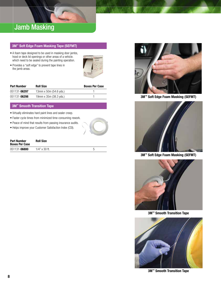## Jamb Masking

#### 3M™ Soft Edge Foam Masking Tape (SEFMT)

- A foam tape designed to be used in masking door jambs, hood or deck lid openings or other areas of a vehicle. which need to be sealed during the painting operation.
- Provides a "soft edge" to prevent tape lines in the jamb areas.



| <b>Part Number</b> | <b>Roll Size</b>       | <b>Boxes Per Case</b> |
|--------------------|------------------------|-----------------------|
| 051131-06297       | 13mm x 50m (54.6 yds.) |                       |
| 051131-06298       | 19mm x 35m (38.3 yds.) |                       |

#### 3M™ Smooth Transition Tape

- Virtually eliminates hard paint lines and sealer creep.
- Faster cycle times from minimized time-consuming rework.
- Peace of mind that results from passing insurance audits.
- Helps improve your Customer Satisfaction Index (CSI).

| <b>Part Number</b><br><b>Boxes Per Case</b> | <b>Roll Size</b> |  |
|---------------------------------------------|------------------|--|
| 051131-06800                                | $1/4$ " x 30 ft. |  |



3M™ Soft Edge Foam Masking (SEFMT)



3M™ Soft Edge Foam Masking (SEFMT)



3M™ Smooth Transition Tape



3M™ Smooth Transition Tape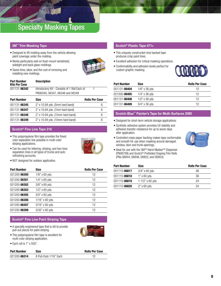## Specialty Masking Tapes

#### 3M™ Trim Masking Tape

sidelight and back glass moldings.

• Designed to lift molding away from the vehicle allowing paint coverage under the molding.



• Saves time, labor, and the cost of removing and installing new moldings.

| <b>Part Number</b><br><b>Kits Per Case</b> | <b>Description</b>                            |  |
|--------------------------------------------|-----------------------------------------------|--|
| 051131-06342                               | Introductory Kit - Consists of 1 Roll Each of |  |
|                                            | PN06345, 06347, 06348 and 06349               |  |

| <b>Part Number</b> | <b>Size</b>                       | <b>Rolls Per Case</b> |
|--------------------|-----------------------------------|-----------------------|
| 051131-06345       | $2"$ x 10.94 yds. (5mm hard band) | 6                     |
| 051131-06347       | $2"$ x 10.94 yds. (7mm hard band) | 6                     |
| 051131-06348       | 2" x 10.94 yds. (15mm hard band)  | 6                     |
| 051131-06349       | 2" x 10.94 yds. (10mm hard band)  | 6                     |

#### Scotch® Fine Line Tape 218

• This polypropylene film tape provides the finest color separation line possible in multi-color striping applications.



- Can be used for lettering, striping, and two-tone separation lines in all types of trucks and auto refinishing accounts.
- NOT designed for outdoor application.

| <b>Part Number</b> | <b>Size</b>       | <b>Rolls Per Case</b> |
|--------------------|-------------------|-----------------------|
| 021200-06300       | $1/8$ " x 60 yds. | 12                    |
| 021200-06301       | $1/4$ " x 60 yds. | 12                    |
| 021200-06302       | 3/8" x 60 yds.    | 12                    |
| 021200-06303       | $1/2$ " x 60 yds. | 12                    |
| 021200-06305       | $3/4"$ x 60 yds.  | 12                    |
| 021200-06306       | $1/16"$ x 60 yds. | 12                    |
| 021200-06307       | $3/16"$ x 60 yds. | 12                    |
| 021200-06308       | 3/32" x 60 yds.   | 12                    |

#### Scotch® Fine Line Paint Striping Tape

• A specially engineered tape that is slit to provide pull-out pieces for paint striping.

• This polypropylene film tape is excellent for



multi-color striping application.

| $\bullet$ Each roll is 1" x 550". |  |  |  |
|-----------------------------------|--|--|--|
|                                   |  |  |  |

| <b>Part Number</b> | Size                   | <b>Rolls Per Case</b> |  |
|--------------------|------------------------|-----------------------|--|
| 021200-06314       | 8 Pull-Outs 1/16" Each |                       |  |

#### Scotch® Plastic Tape 471+

- This uniquely constructed vinyl backed tape produces crisp paint lines.
- Excellent adhesion for critical masking operations.
- Conformability and adhesion levels perfect for custom graphic masking.



| Part Number          | <b>Size</b>       | <b>Rolls Per Case</b> |
|----------------------|-------------------|-----------------------|
| 051131-06404         | $1/8$ " x 36 yds. | 12                    |
| 021200-06405         | $1/4$ " x 36 yds. | 12                    |
| 051131- <b>06408</b> | $1/2$ " x 36 yds. | 12                    |
| 051131- <b>06409</b> | 3/4" x 36 yds.    | 12                    |

#### Scotch-Blue™ Painter's Tape for Multi-Surfaces 2090

- Designed for short-term vehicle storage applications.
- Synthetic adhesive system provides UV stability and adhesive transfer resistance for up to seven days after application.



and smooth for use when masking around damaged window, door and trunk openings. • Ideal for use with the 3M<sup>™</sup> Hand-Masker<sup>™</sup> Dispenser (PN06799) and Scotch® Prefolded Draping Film Rolls

(PNs 06844, 06848, 06852, and 06853).

• Controlled crepe paper backing makes tape conformable

| Part Number          | <b>Size</b>               | <b>Rolls Per Case</b> |
|----------------------|---------------------------|-----------------------|
| 051115- <b>06817</b> | $3/4"$ x 60 yds.          | 48                    |
| 051115-06818         | $1"$ x 60 yds.            | 36                    |
| 051115- <b>06819</b> | $1 - 1/2" \times 60$ yds. | 24                    |
| 051115-06820         | $2"$ x 60 yds.            | 24                    |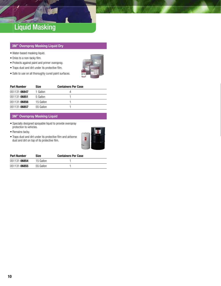## Liquid Masking

#### 3M™ Overspray Masking Liquid Dry

- Water-based masking liquid.
- Dries to a non-tacky film.
- Protects against paint and primer overspray.
- Traps dust and dirt under its protective film.
- Safe to use on all thoroughly cured paint surfaces.



| <b>Part Number</b> | <b>Size</b> | <b>Containers Per Case</b> |  |
|--------------------|-------------|----------------------------|--|
| 051131-06847       | 1 Gallon    |                            |  |
| 051131-06851       | 5 Gallon    |                            |  |
| 051131-06856       | 15 Gallon   |                            |  |
| 051131-06857       | 55 Gallon   |                            |  |

#### 3M™ Overspray Masking Liquid

- Specially designed sprayable liquid to provide overspray protection to vehicles.
- Remains tacky.
- Traps dust and dirt under its protective film and airborne dust and dirt on top of its protective film.



| <b>Part Number</b> | <b>Size</b> | <b>Containers Per Case</b> |  |
|--------------------|-------------|----------------------------|--|
| 051131-06854       | 15 Gallon   |                            |  |
| 051131-06855       | 55 Gallon   |                            |  |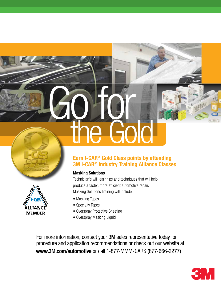# Go for the Gold



## Earn I-CAR® Gold Class points by attending 3M I-CAR® Industry Training Alliance Classes

## Masking Solutions

Technician's will learn tips and techniques that will help produce a faster, more efficient automotive repair. Masking Solutions Training will include:

- Masking Tapes
- Specialty Tapes
- Overspray Protective Sheeting
- Overspray Masking Liquid

For more information, contact your 3M sales representative today for procedure and application recommendations or check out our website at www.3M.com/automotive or call 1-877-MMM-CARS (877-666-2277)